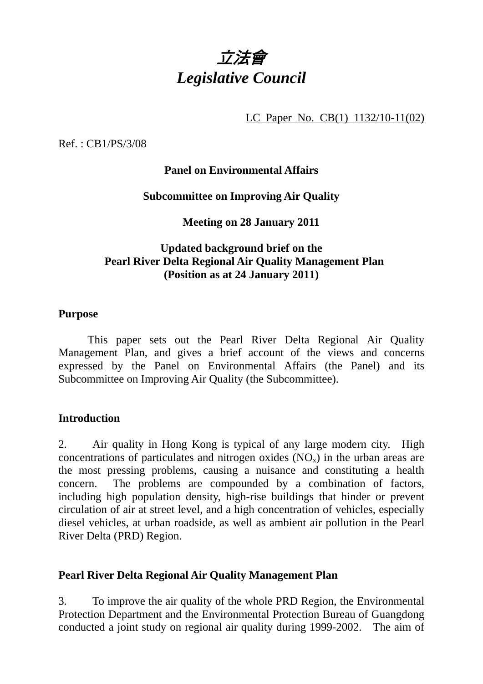

LC Paper No. CB(1) 1132/10-11(02)

Ref. : CB1/PS/3/08

# **Panel on Environmental Affairs**

### **Subcommittee on Improving Air Quality**

**Meeting on 28 January 2011** 

# **Updated background brief on the Pearl River Delta Regional Air Quality Management Plan (Position as at 24 January 2011)**

#### **Purpose**

 This paper sets out the Pearl River Delta Regional Air Quality Management Plan, and gives a brief account of the views and concerns expressed by the Panel on Environmental Affairs (the Panel) and its Subcommittee on Improving Air Quality (the Subcommittee).

### **Introduction**

2. Air quality in Hong Kong is typical of any large modern city. High concentrations of particulates and nitrogen oxides  $(NO<sub>x</sub>)$  in the urban areas are the most pressing problems, causing a nuisance and constituting a health concern. The problems are compounded by a combination of factors, including high population density, high-rise buildings that hinder or prevent circulation of air at street level, and a high concentration of vehicles, especially diesel vehicles, at urban roadside, as well as ambient air pollution in the Pearl River Delta (PRD) Region.

### **Pearl River Delta Regional Air Quality Management Plan**

3. To improve the air quality of the whole PRD Region, the Environmental Protection Department and the Environmental Protection Bureau of Guangdong conducted a joint study on regional air quality during 1999-2002. The aim of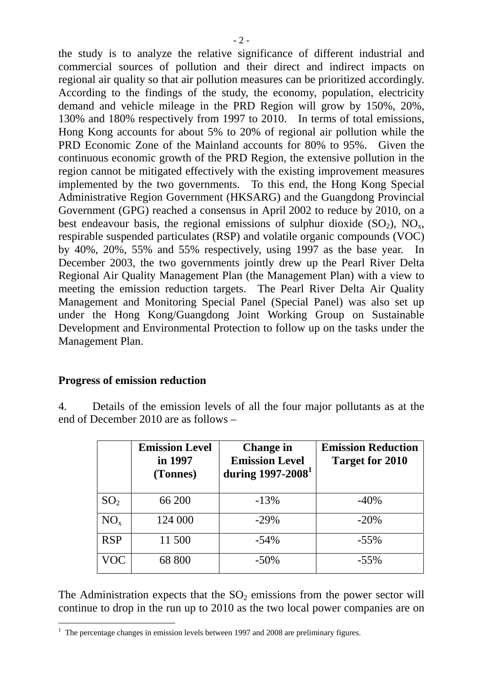the study is to analyze the relative significance of different industrial and commercial sources of pollution and their direct and indirect impacts on regional air quality so that air pollution measures can be prioritized accordingly. According to the findings of the study, the economy, population, electricity demand and vehicle mileage in the PRD Region will grow by 150%, 20%, 130% and 180% respectively from 1997 to 2010. In terms of total emissions, Hong Kong accounts for about 5% to 20% of regional air pollution while the PRD Economic Zone of the Mainland accounts for 80% to 95%. Given the continuous economic growth of the PRD Region, the extensive pollution in the region cannot be mitigated effectively with the existing improvement measures implemented by the two governments. To this end, the Hong Kong Special Administrative Region Government (HKSARG) and the Guangdong Provincial Government (GPG) reached a consensus in April 2002 to reduce by 2010, on a best endeavour basis, the regional emissions of sulphur dioxide  $(SO<sub>2</sub>)$ , NO<sub>x</sub>, respirable suspended particulates (RSP) and volatile organic compounds (VOC) by 40%, 20%, 55% and 55% respectively, using 1997 as the base year. In December 2003, the two governments jointly drew up the Pearl River Delta Regional Air Quality Management Plan (the Management Plan) with a view to meeting the emission reduction targets. The Pearl River Delta Air Quality Management and Monitoring Special Panel (Special Panel) was also set up under the Hong Kong/Guangdong Joint Working Group on Sustainable Development and Environmental Protection to follow up on the tasks under the Management Plan.

### **Progress of emission reduction**

4. Details of the emission levels of all the four major pollutants as at the end of December 2010 are as follows –

|                 | <b>Emission Level</b><br>in 1997<br>(Tonnes) | <b>Change in</b><br><b>Emission Level</b><br>during $1997 - 2008$ <sup>1</sup> | <b>Emission Reduction</b><br><b>Target for 2010</b> |
|-----------------|----------------------------------------------|--------------------------------------------------------------------------------|-----------------------------------------------------|
| SO <sub>2</sub> | 66 200                                       | $-13%$                                                                         | $-40%$                                              |
| $NO_{x}$        | 124 000                                      | $-29%$                                                                         | $-20%$                                              |
| <b>RSP</b>      | 11 500                                       | $-54%$                                                                         | $-55%$                                              |
| VOC             | 68 800                                       | $-50\%$                                                                        | $-55\%$                                             |

The Administration expects that the  $SO<sub>2</sub>$  emissions from the power sector will continue to drop in the run up to 2010 as the two local power companies are on

The percentage changes in emission levels between 1997 and 2008 are preliminary figures.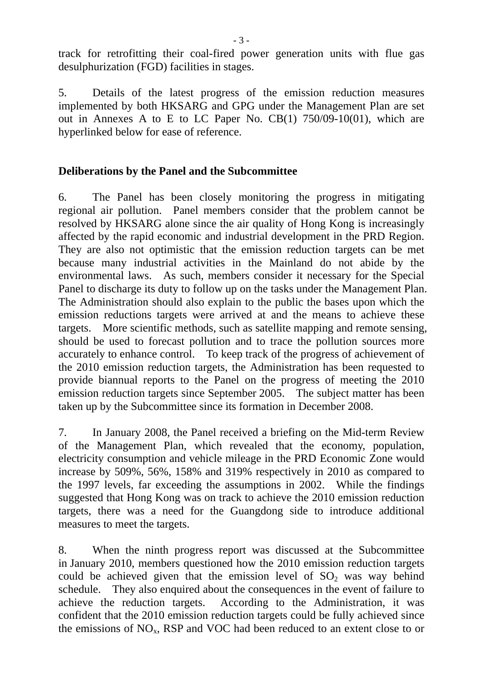track for retrofitting their coal-fired power generation units with flue gas desulphurization (FGD) facilities in stages.

5. Details of the latest progress of the emission reduction measures implemented by both HKSARG and GPG under the Management Plan are set out in Annexes A to E to LC Paper No. CB(1) 750/09-10(01), which are hyperlinked below for ease of reference.

### **Deliberations by the Panel and the Subcommittee**

6. The Panel has been closely monitoring the progress in mitigating regional air pollution. Panel members consider that the problem cannot be resolved by HKSARG alone since the air quality of Hong Kong is increasingly affected by the rapid economic and industrial development in the PRD Region. They are also not optimistic that the emission reduction targets can be met because many industrial activities in the Mainland do not abide by the environmental laws. As such, members consider it necessary for the Special Panel to discharge its duty to follow up on the tasks under the Management Plan. The Administration should also explain to the public the bases upon which the emission reductions targets were arrived at and the means to achieve these targets. More scientific methods, such as satellite mapping and remote sensing, should be used to forecast pollution and to trace the pollution sources more accurately to enhance control. To keep track of the progress of achievement of the 2010 emission reduction targets, the Administration has been requested to provide biannual reports to the Panel on the progress of meeting the 2010 emission reduction targets since September 2005. The subject matter has been taken up by the Subcommittee since its formation in December 2008.

7. In January 2008, the Panel received a briefing on the Mid-term Review of the Management Plan, which revealed that the economy, population, electricity consumption and vehicle mileage in the PRD Economic Zone would increase by 509%, 56%, 158% and 319% respectively in 2010 as compared to the 1997 levels, far exceeding the assumptions in 2002. While the findings suggested that Hong Kong was on track to achieve the 2010 emission reduction targets, there was a need for the Guangdong side to introduce additional measures to meet the targets.

8. When the ninth progress report was discussed at the Subcommittee in January 2010, members questioned how the 2010 emission reduction targets could be achieved given that the emission level of  $SO<sub>2</sub>$  was way behind schedule. They also enquired about the consequences in the event of failure to achieve the reduction targets. According to the Administration, it was confident that the 2010 emission reduction targets could be fully achieved since the emissions of  $NO<sub>x</sub>$ , RSP and VOC had been reduced to an extent close to or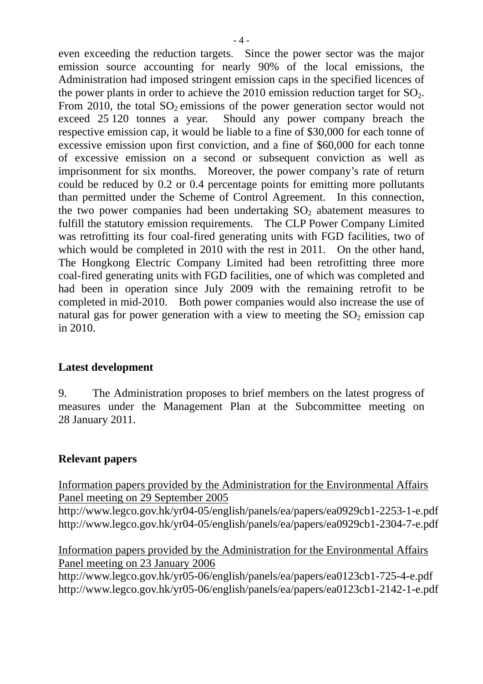even exceeding the reduction targets. Since the power sector was the major emission source accounting for nearly 90% of the local emissions, the Administration had imposed stringent emission caps in the specified licences of the power plants in order to achieve the  $2010$  emission reduction target for  $SO<sub>2</sub>$ . From 2010, the total  $SO<sub>2</sub>$  emissions of the power generation sector would not exceed 25 120 tonnes a year. Should any power company breach the respective emission cap, it would be liable to a fine of \$30,000 for each tonne of excessive emission upon first conviction, and a fine of \$60,000 for each tonne of excessive emission on a second or subsequent conviction as well as imprisonment for six months. Moreover, the power company's rate of return could be reduced by 0.2 or 0.4 percentage points for emitting more pollutants than permitted under the Scheme of Control Agreement. In this connection, the two power companies had been undertaking  $SO<sub>2</sub>$  abatement measures to fulfill the statutory emission requirements. The CLP Power Company Limited was retrofitting its four coal-fired generating units with FGD facilities, two of which would be completed in 2010 with the rest in 2011. On the other hand, The Hongkong Electric Company Limited had been retrofitting three more coal-fired generating units with FGD facilities, one of which was completed and had been in operation since July 2009 with the remaining retrofit to be completed in mid-2010. Both power companies would also increase the use of natural gas for power generation with a view to meeting the  $SO<sub>2</sub>$  emission cap in 2010.

### **Latest development**

9. The Administration proposes to brief members on the latest progress of measures under the Management Plan at the Subcommittee meeting on 28 January 2011.

# **Relevant papers**

Information papers provided by the Administration for the Environmental Affairs Panel meeting on 29 September 2005

http://www.legco.gov.hk/yr04-05/english/panels/ea/papers/ea0929cb1-2253-1-e.pdf http://www.legco.gov.hk/yr04-05/english/panels/ea/papers/ea0929cb1-2304-7-e.pdf

Information papers provided by the Administration for the Environmental Affairs Panel meeting on 23 January 2006

http://www.legco.gov.hk/yr05-06/english/panels/ea/papers/ea0123cb1-725-4-e.pdf http://www.legco.gov.hk/yr05-06/english/panels/ea/papers/ea0123cb1-2142-1-e.pdf